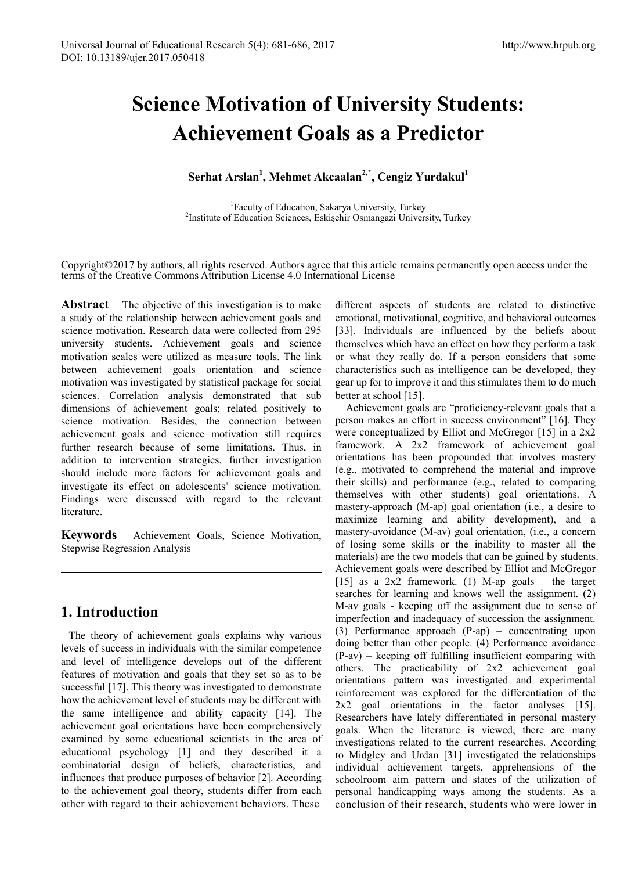# **Science Motivation of University Students: Achievement Goals as a Predictor**

### $\text{Serhat Arslan}^1$ , Mehmet Akcaalan<sup>2,\*</sup>, Cengiz Yurdakul<sup>1</sup>

<sup>1</sup> Faculty of Education, Sakarya University, Turkey<sup>2</sup><br><sup>2</sup>Institute of Education Sciences, Eskisebir Osmangazi Univer <sup>2</sup>Institute of Education Sciences, Eskisehir Osmangazi University, Turkey

Copyright©2017 by authors, all rights reserved. Authors agree that this article remains permanently open access under the terms of the Creative Commons Attribution License 4.0 International License

Abstract The objective of this investigation is to make a study of the relationship between achievement goals and science motivation. Research data were collected from 295 university students. Achievement goals and science motivation scales were utilized as measure tools. The link between achievement goals orientation and science motivation was investigated by statistical package for social sciences. Correlation analysis demonstrated that sub dimensions of achievement goals; related positively to science motivation. Besides, the connection between achievement goals and science motivation still requires further research because of some limitations. Thus, in addition to intervention strategies, further investigation should include more factors for achievement goals and investigate its effect on adolescents' science motivation. Findings were discussed with regard to the relevant **literature** 

**Keywords** Achievement Goals, Science Motivation, Stepwise Regression Analysis

# **1. Introduction**

The theory of achievement goals explains why various levels of success in individuals with the similar competence and level of intelligence develops out of the different features of motivation and goals that they set so as to be successful [17]. This theory was investigated to demonstrate how the achievement level of students may be different with the same intelligence and ability capacity [14]. The achievement goal orientations have been comprehensively examined by some educational scientists in the area of educational psychology [1] and they described it a combinatorial design of beliefs, characteristics, and influences that produce purposes of behavior [2]. According to the achievement goal theory, students differ from each other with regard to their achievement behaviors. These

different aspects of students are related to distinctive emotional, motivational, cognitive, and behavioral outcomes [33]. Individuals are influenced by the beliefs about themselves which have an effect on how they perform a task or what they really do. If a person considers that some characteristics such as intelligence can be developed, they gear up for to improve it and this stimulates them to do much better at school [15].

Achievement goals are "proficiency-relevant goals that a person makes an effort in success environment" [16]. They were conceptualized by Elliot and McGregor [15] in a 2x2 framework. A 2x2 framework of achievement goal orientations has been propounded that involves mastery (e.g., motivated to comprehend the material and improve their skills) and performance (e.g., related to comparing themselves with other students) goal orientations. A mastery-approach (M-ap) goal orientation (i.e., a desire to maximize learning and ability development), and a mastery-avoidance (M-av) goal orientation, (i.e., a concern of losing some skills or the inability to master all the materials) are the two models that can be gained by students. Achievement goals were described by Elliot and McGregor [15] as a  $2x2$  framework. (1) M-ap goals – the target searches for learning and knows well the assignment. (2) M-av goals - keeping off the assignment due to sense of imperfection and inadequacy of succession the assignment. (3) Performance approach (P-ap) – concentrating upon doing better than other people. (4) Performance avoidance (P-av) – keeping off fulfilling insufficient comparing with others. The practicability of 2x2 achievement goal orientations pattern was investigated and experimental reinforcement was explored for the differentiation of the 2x2 goal orientations in the factor analyses [15]. Researchers have lately differentiated in personal mastery goals. When the literature is viewed, there are many investigations related to the current researches. According to Midgley and Urdan [31] investigated the relationships individual achievement targets, apprehensions of the schoolroom aim pattern and states of the utilization of personal handicapping ways among the students. As a conclusion of their research, students who were lower in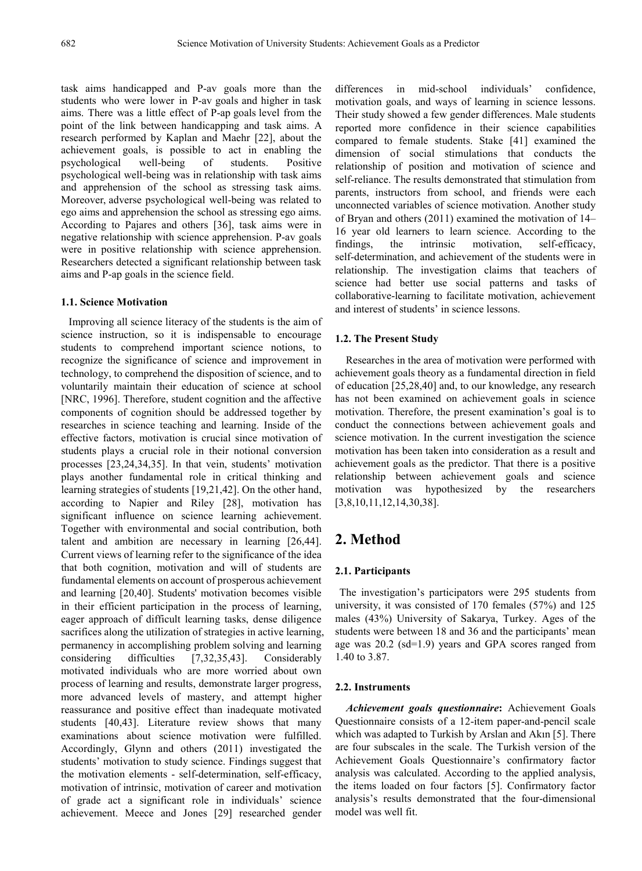task aims handicapped and P-av goals more than the students who were lower in P-av goals and higher in task aims. There was a little effect of P-ap goals level from the point of the link between handicapping and task aims. A research performed by Kaplan and Maehr [22], about the achievement goals, is possible to act in enabling the psychological well-being of students. Positive psychological well-being was in relationship with task aims and apprehension of the school as stressing task aims. Moreover, adverse psychological well-being was related to ego aims and apprehension the school as stressing ego aims. According to Pajares and others [36], task aims were in negative relationship with science apprehension. P-av goals were in positive relationship with science apprehension. Researchers detected a significant relationship between task aims and P-ap goals in the science field.

#### **1.1. Science Motivation**

Improving all science literacy of the students is the aim of science instruction, so it is indispensable to encourage students to comprehend important science notions, to recognize the significance of science and improvement in technology, to comprehend the disposition of science, and to voluntarily maintain their education of science at school [NRC, 1996]. Therefore, student cognition and the affective components of cognition should be addressed together by researches in science teaching and learning. Inside of the effective factors, motivation is crucial since motivation of students plays a crucial role in their notional conversion processes [23,24,34,35]. In that vein, students' motivation plays another fundamental role in critical thinking and learning strategies of students [19,21,42]. On the other hand, according to Napier and Riley [28], motivation has significant influence on science learning achievement. Together with environmental and social contribution, both talent and ambition are necessary in learning [26,44]. Current views of learning refer to the significance of the idea that both cognition, motivation and will of students are fundamental elements on account of prosperous achievement and learning [20,40]. Students' motivation becomes visible in their efficient participation in the process of learning, eager approach of difficult learning tasks, dense diligence sacrifices along the utilization of strategies in active learning, permanency in accomplishing problem solving and learning considering difficulties [7,32,35,43]. Considerably motivated individuals who are more worried about own process of learning and results, demonstrate larger progress, more advanced levels of mastery, and attempt higher reassurance and positive effect than inadequate motivated students [40,43]. Literature review shows that many examinations about science motivation were fulfilled. Accordingly, Glynn and others (2011) investigated the students' motivation to study science. Findings suggest that the motivation elements - self-determination, self-efficacy, motivation of intrinsic, motivation of career and motivation of grade act a significant role in individuals' science achievement. Meece and Jones [29] researched gender

differences in mid-school individuals' confidence, motivation goals, and ways of learning in science lessons. Their study showed a few gender differences. Male students reported more confidence in their science capabilities compared to female students. Stake [41] examined the dimension of social stimulations that conducts the relationship of position and motivation of science and self-reliance. The results demonstrated that stimulation from parents, instructors from school, and friends were each unconnected variables of science motivation. Another study of Bryan and others (2011) examined the motivation of 14– 16 year old learners to learn science. According to the findings, the intrinsic motivation, self-efficacy, self-determination, and achievement of the students were in relationship. The investigation claims that teachers of science had better use social patterns and tasks of collaborative-learning to facilitate motivation, achievement and interest of students' in science lessons.

#### **1.2. The Present Study**

Researches in the area of motivation were performed with achievement goals theory as a fundamental direction in field of education [25,28,40] and, to our knowledge, any research has not been examined on achievement goals in science motivation. Therefore, the present examination's goal is to conduct the connections between achievement goals and science motivation. In the current investigation the science motivation has been taken into consideration as a result and achievement goals as the predictor. That there is a positive relationship between achievement goals and science motivation was hypothesized by the researchers [3,8,10,11,12,14,30,38].

### **2. Method**

#### **2.1. Participants**

The investigation's participators were 295 students from university, it was consisted of 170 females (57%) and 125 males (43%) University of Sakarya, Turkey. Ages of the students were between 18 and 36 and the participants' mean age was 20.2 (sd=1.9) years and GPA scores ranged from 1.40 to 3.87.

#### **2.2. Instruments**

*Achievement goals questionnaire***:** Achievement Goals Questionnaire consists of a 12-item paper-and-pencil scale which was adapted to Turkish by Arslan and Akın [5]. There are four subscales in the scale. The Turkish version of the Achievement Goals Questionnaire's confirmatory factor analysis was calculated. According to the applied analysis, the items loaded on four factors [5]. Confirmatory factor analysis's results demonstrated that the four-dimensional model was well fit.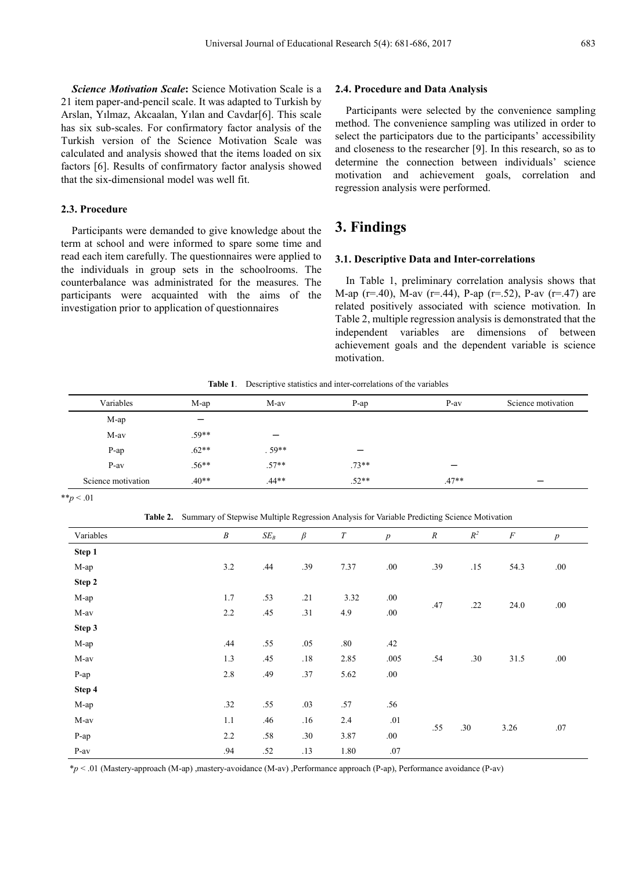*Science Motivation Scale***:** Science Motivation Scale is a 21 item paper-and-pencil scale. It was adapted to Turkish by Arslan, Yılmaz, Akcaalan, Yılan and Cavdar[6]. This scale has six sub-scales. For confirmatory factor analysis of the Turkish version of the Science Motivation Scale was calculated and analysis showed that the items loaded on six factors [6]. Results of confirmatory factor analysis showed that the six-dimensional model was well fit.

#### **2.3. Procedure**

Participants were demanded to give knowledge about the term at school and were informed to spare some time and read each item carefully. The questionnaires were applied to the individuals in group sets in the schoolrooms. The counterbalance was administrated for the measures. The participants were acquainted with the aims of the investigation prior to application of questionnaires

#### **2.4. Procedure and Data Analysis**

Participants were selected by the convenience sampling method. The convenience sampling was utilized in order to select the participators due to the participants' accessibility and closeness to the researcher [9]. In this research, so as to determine the connection between individuals' science motivation and achievement goals, correlation and regression analysis were performed.

## **3. Findings**

#### **3.1. Descriptive Data and Inter-correlations**

In Table 1, preliminary correlation analysis shows that M-ap (r=.40), M-av (r=.44), P-ap (r=.52), P-av (r=.47) are related positively associated with science motivation. In Table 2, multiple regression analysis is demonstrated that the independent variables are dimensions of between achievement goals and the dependent variable is science motivation.

**Table 1**. Descriptive statistics and inter-correlations of the variables

| Variables          | M-ap    | M-av    | $P$ -ap | $P-av$  | Science motivation |
|--------------------|---------|---------|---------|---------|--------------------|
| M-ap               |         |         |         |         |                    |
| M-av               | $.59**$ |         |         |         |                    |
| P-ap               | $.62**$ | $.59**$ | –       |         |                    |
| $P-av$             | $.56**$ | $.57**$ | $.73**$ |         |                    |
| Science motivation | $.40**$ | $.44**$ | $.52**$ | $.47**$ |                    |

\*\**p* < .01

**Table 2.** Summary of Stepwise Multiple Regression Analysis for Variable Predicting Science Motivation

| Variables | $\boldsymbol{B}$ | $SE_B$  | $\beta$ | T    | $\boldsymbol{p}$ | $\boldsymbol{R}$ | $\mathbb{R}^2$ | $\cal F$ | $\boldsymbol{p}$ |
|-----------|------------------|---------|---------|------|------------------|------------------|----------------|----------|------------------|
| Step 1    |                  |         |         |      |                  |                  |                |          |                  |
| M-ap      | 3.2              | .44     | .39     | 7.37 | $.00\,$          | .39              | .15            | 54.3     | .00.             |
| Step 2    |                  |         |         |      |                  |                  |                |          |                  |
| M-ap      | 1.7              | .53     | .21     | 3.32 | .00              | .47              |                | 24.0     | .00.             |
| M-av      | 2.2              | .45     | .31     | 4.9  | .00.             |                  | .22            |          |                  |
| Step 3    |                  |         |         |      |                  |                  |                |          |                  |
| M-ap      | .44              | .55     | .05     | .80  | .42              |                  |                | 31.5     | .00.             |
| $M$ -av   | 1.3              | .45     | $.18\,$ | 2.85 | $.005$           | .54              | .30            |          |                  |
| P-ap      | $2.8\,$          | .49     | .37     | 5.62 | .00.             |                  |                |          |                  |
| Step 4    |                  |         |         |      |                  |                  |                |          |                  |
| M-ap      | .32              | .55     | .03     | .57  | .56              |                  |                |          | .07              |
| M-av      | 1.1              | .46     | .16     | 2.4  | .01              |                  |                | 3.26     |                  |
| P-ap      | 2.2              | .58     | .30     | 3.87 | .00.             | .55              | .30            |          |                  |
| $P-av$    | .94              | $.52\,$ | .13     | 1.80 | $.07\,$          |                  |                |          |                  |

\**p* < .01 (Mastery-approach (M-ap) ,mastery-avoidance (M-av) ,Performance approach (P-ap), Performance avoidance (P-av)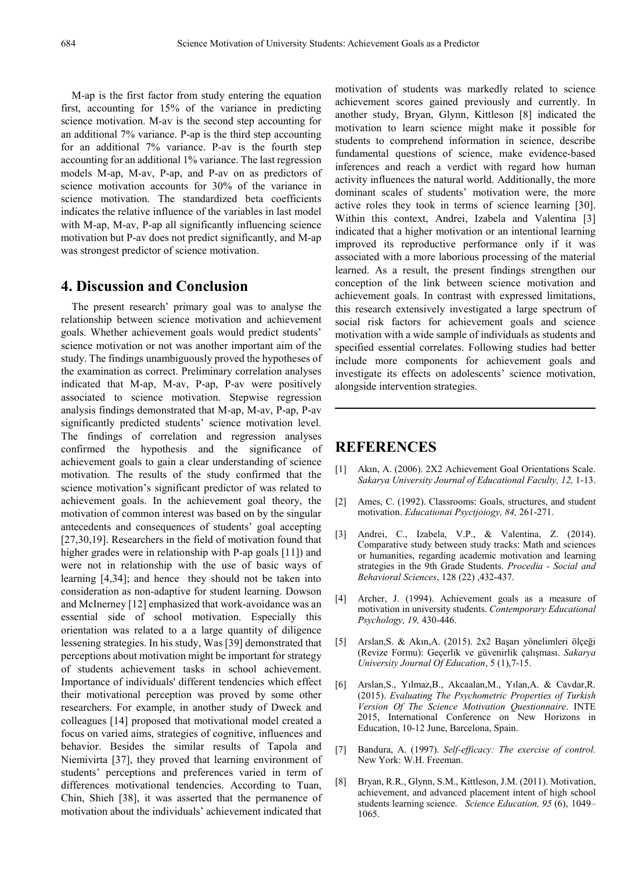M-ap is the first factor from study entering the equation first, accounting for 15% of the variance in predicting science motivation. M-av is the second step accounting for an additional 7% variance. P-ap is the third step accounting for an additional 7% variance. P-av is the fourth step accounting for an additional 1% variance. The last regression models M-ap, M-av, P-ap, and P-av on as predictors of science motivation accounts for 30% of the variance in science motivation. The standardized beta coefficients indicates the relative influence of the variables in last model with M-ap, M-av, P-ap all significantly influencing science motivation but P-av does not predict significantly, and M-ap was strongest predictor of science motivation.

### **4. Discussion and Conclusion**

The present research' primary goal was to analyse the relationship between science motivation and achievement goals. Whether achievement goals would predict students' science motivation or not was another important aim of the study. The findings unambiguously proved the hypotheses of the examination as correct. Preliminary correlation analyses indicated that M-ap, M-av, P-ap, P-av were positively associated to science motivation. Stepwise regression analysis findings demonstrated that M-ap, M-av, P-ap, P-av significantly predicted students' science motivation level. The findings of correlation and regression analyses confirmed the hypothesis and the significance of achievement goals to gain a clear understanding of science motivation. The results of the study confirmed that the science motivation's significant predictor of was related to achievement goals. In the achievement goal theory, the motivation of common interest was based on by the singular antecedents and consequences of students' goal accepting [27,30,19]. Researchers in the field of motivation found that higher grades were in relationship with P-ap goals [11]) and were not in relationship with the use of basic ways of learning [4,34]; and hence they should not be taken into consideration as non-adaptive for student learning. Dowson and McInerney [12] emphasized that work-avoidance was an essential side of school motivation. Especially this orientation was related to a a large quantity of diligence lessening strategies. In his study, Was [39] demonstrated that perceptions about motivation might be important for strategy of students achievement tasks in school achievement. Importance of individuals' different tendencies which effect their motivational perception was proved by some other researchers. For example, in another study of Dweck and colleagues [14] proposed that motivational model created a focus on varied aims, strategies of cognitive, influences and behavior. Besides the similar results of Tapola and Niemivirta [37], they proved that learning environment of students' perceptions and preferences varied in term of differences motivational tendencies. According to Tuan, Chin, Shieh [38], it was asserted that the permanence of motivation about the individuals' achievement indicated that motivation of students was markedly related to science achievement scores gained previously and currently. In another study, Bryan, Glynn, Kittleson [8] indicated the motivation to learn science might make it possible for students to comprehend information in science, describe fundamental questions of science, make evidence-based inferences and reach a verdict with regard how human activity influences the natural world. Additionally, the more dominant scales of students' motivation were, the more active roles they took in terms of science learning [30]. Within this context, Andrei, Izabela and Valentina [3] indicated that a higher motivation or an intentional learning improved its reproductive performance only if it was associated with a more laborious processing of the material learned. As a result, the present findings strengthen our conception of the link between science motivation and achievement goals. In contrast with expressed limitations, this research extensively investigated a large spectrum of social risk factors for achievement goals and science motivation with a wide sample of individuals as students and specified essential correlates. Following studies had better include more components for achievement goals and investigate its effects on adolescents' science motivation, alongside intervention strategies.

# **REFERENCES**

- [1] Akın, A. (2006). 2X2 Achievement Goal Orientations Scale. *Sakarya University Journal of Educational Faculty, 12,* 1-13.
- [2] Ames, C. (1992). Classrooms: Goals, structures, and student motivation. *Educationai Psyctjoiogy, 84,* 261-271.
- [3] Andrei, C., Izabela, V.P., & Valentina, Z. (2014). Comparative study between study tracks: Math and sciences or humanities, regarding academic motivation and learning strategies in the 9th Grade Students. *Procedia - Social and Behavioral Sciences*, 128 (22) ,432-437.
- [4] Archer, J. (1994). Achievement goals as a measure of motivation in university students. *Contemporary Educational Psychology, 19,* 430-446.
- [5] Arslan,S. & Akın,A. (2015). 2x2 Başarı yönelimleri ölçeği (Revize Formu): Geçerlik ve güvenirlik çalışması. *Sakarya University Journal Of Education*, 5 (1),7-15.
- [6] Arslan,S., Yılmaz,B., Akcaalan,M., Yılan,A. & Cavdar,R. (2015). *Evaluating The Psychometric Properties of Turkish Version Of The Science Motivation Questionnaire*. INTE 2015, International Conference on New Horizons in Education, 10-12 June, Barcelona, Spain.
- [7] Bandura, A. (1997). *Self-efficacy: The exercise of control.* New York: W.H. Freeman.
- [8] Bryan, R.R., Glynn, S.M., Kittleson, J.M. (2011). Motivation, achievement, and advanced placement intent of high school students learning science. *Science Education, 95* (6), 1049– 1065.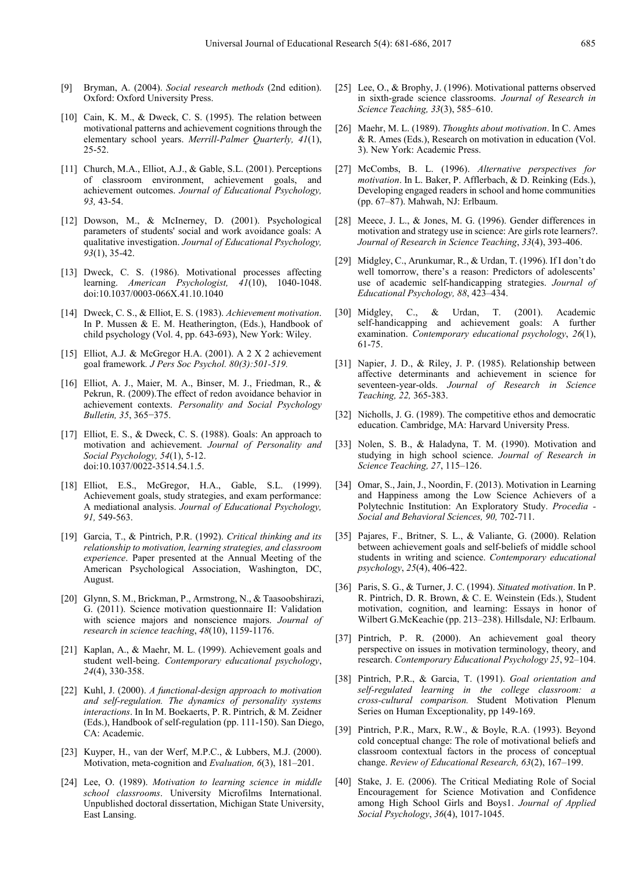- [9] Bryman, A. (2004). *Social research methods* (2nd edition). Oxford: Oxford University Press.
- [10] Cain, K. M., & Dweck, C. S. (1995). The relation between motivational patterns and achievement cognitions through the elementary school years. *Merrill-Palmer Quarterly, 41*(1), 25-52.
- [11] Church, M.A., Elliot, A.J., & Gable, S.L. (2001). Perceptions of classroom environment, achievement goals, and achievement outcomes. *Journal of Educational Psychology, 93,* 43-54.
- [12] Dowson, M., & McInerney, D. (2001). Psychological parameters of students' social and work avoidance goals: A qualitative investigation. *Journal of Educational Psychology, 93*(1), 35-42.
- [13] Dweck, C. S. (1986). Motivational processes affecting learning. *American Psychologist, 41*(10), 1040-1048. doi:10.1037/0003-066X.41.10.1040
- [14] Dweck, C. S., & Elliot, E. S. (1983). *Achievement motivation*. In P. Mussen  $\&$  E. M. Heatherington, (Eds.), Handbook of child psychology (Vol. 4, pp. 643-693), New York: Wiley.
- [15] Elliot, A.J. & McGregor H.A.  $(2001)$ . A 2 X 2 achievement goal framework*. J Pers Soc Psychol. 80(3):501-519.*
- [16] Elliot, A. J., Maier, M. A., Binser, M. J., Friedman, R., & Pekrun, R. (2009).The effect of redon avoidance behavior in achievement contexts. *Personality and Social Psychology Bulletin, 35*, 365−375.
- [17] Elliot, E. S., & Dweck, C. S. (1988). Goals: An approach to motivation and achievement. *Journal of Personality and Social Psychology, 54*(1), 5-12. doi:10.1037/0022-3514.54.1.5.
- [18] Elliot, E.S., McGregor, H.A., Gable, S.L. (1999). Achievement goals, study strategies, and exam performance: A mediational analysis. *Journal of Educational Psychology, 91,* 549-563.
- [19] Garcia, T., & Pintrich, P.R. (1992). *Critical thinking and its relationship to motivation, learning strategies, and classroom experience*. Paper presented at the Annual Meeting of the American Psychological Association, Washington, DC, August.
- [20] Glynn, S. M., Brickman, P., Armstrong, N., & Taasoobshirazi, G. (2011). Science motivation questionnaire II: Validation with science majors and nonscience majors. *Journal of research in science teaching*, *48*(10), 1159-1176.
- [21] Kaplan, A., & Maehr, M. L. (1999). Achievement goals and student well-being. *Contemporary educational psychology*, *24*(4), 330-358.
- [22] Kuhl, J. (2000). *A functional-design approach to motivation and self-regulation. The dynamics of personality systems interactions*. In In M. Boekaerts, P. R. Pintrich, & M. Zeidner (Eds.), Handbook of self-regulation (pp. 111-150). San Diego, CA: Academic.
- [23] Kuyper, H., van der Werf, M.P.C., & Lubbers, M.J. (2000). Motivation, meta-cognition and *Evaluation, 6*(3), 181–201.
- [24] Lee, O. (1989). *Motivation to learning science in middle school classrooms*. University Microfilms International. Unpublished doctoral dissertation, Michigan State University, East Lansing.
- [25] Lee, O., & Brophy, J. (1996). Motivational patterns observed in sixth-grade science classrooms. *Journal of Research in Science Teaching, 33*(3), 585–610.
- [26] Maehr, M. L. (1989). *Thoughts about motivation*. In C. Ames & R. Ames (Eds.), Research on motivation in education (Vol. 3). New York: Academic Press.
- [27] McCombs, B. L. (1996). *Alternative perspectives for motivation*. In L. Baker, P. Afflerbach, & D. Reinking (Eds.), Developing engaged readers in school and home communities (pp. 67–87). Mahwah, NJ: Erlbaum.
- [28] Meece, J. L., & Jones, M. G. (1996). Gender differences in motivation and strategy use in science: Are girls rote learners?. *Journal of Research in Science Teaching*, *33*(4), 393-406.
- [29] Midgley, C., Arunkumar, R., & Urdan, T. (1996). If I don't do well tomorrow, there's a reason: Predictors of adolescents' use of academic self-handicapping strategies. *Journal of Educational Psychology, 88*, 423–434.
- [30] Midgley, C., & Urdan, T. (2001). Academic self-handicapping and achievement goals: A further examination. *Contemporary educational psychology*, *26*(1), 61-75.
- [31] Napier, J. D., & Riley, J. P. (1985). Relationship between affective determinants and achievement in science for seventeen-year-olds. *Journal of Research in Science Teaching, 22,* 365-383.
- [32] Nicholls, J. G. (1989). The competitive ethos and democratic education. Cambridge, MA: Harvard University Press.
- [33] Nolen, S. B., & Haladyna, T. M. (1990). Motivation and studying in high school science. *Journal of Research in Science Teaching, 27*, 115–126.
- [34] Omar, S., Jain, J., Noordin, F. (2013). Motivation in Learning and Happiness among the Low Science Achievers of a Polytechnic Institution: An Exploratory Study. *Procedia - Social and Behavioral Sciences, 90,* 702-711.
- [35] Pajares, F., Britner, S. L., & Valiante, G. (2000). Relation between achievement goals and self-beliefs of middle school students in writing and science. *Contemporary educational psychology*, *25*(4), 406-422.
- [36] Paris, S. G., & Turner, J. C. (1994). *Situated motivation*. In P. R. Pintrich, D. R. Brown, & C. E. Weinstein (Eds.), Student motivation, cognition, and learning: Essays in honor of Wilbert G.McKeachie (pp. 213–238). Hillsdale, NJ: Erlbaum.
- [37] Pintrich, P. R. (2000). An achievement goal theory perspective on issues in motivation terminology, theory, and research. *Contemporary Educational Psychology 25*, 92–104.
- [38] Pintrich, P.R., & Garcia, T. (1991). *Goal orientation and self-regulated learning in the college classroom: a cross-cultural comparison.* Student Motivation Plenum Series on Human Exceptionality, pp 149-169.
- [39] Pintrich, P.R., Marx, R.W., & Boyle, R.A. (1993). Beyond cold conceptual change: The role of motivational beliefs and classroom contextual factors in the process of conceptual change. *Review of Educational Research, 63*(2), 167–199.
- [40] Stake, J. E. (2006). The Critical Mediating Role of Social Encouragement for Science Motivation and Confidence among High School Girls and Boys1. *Journal of Applied Social Psychology*, *36*(4), 1017-1045.